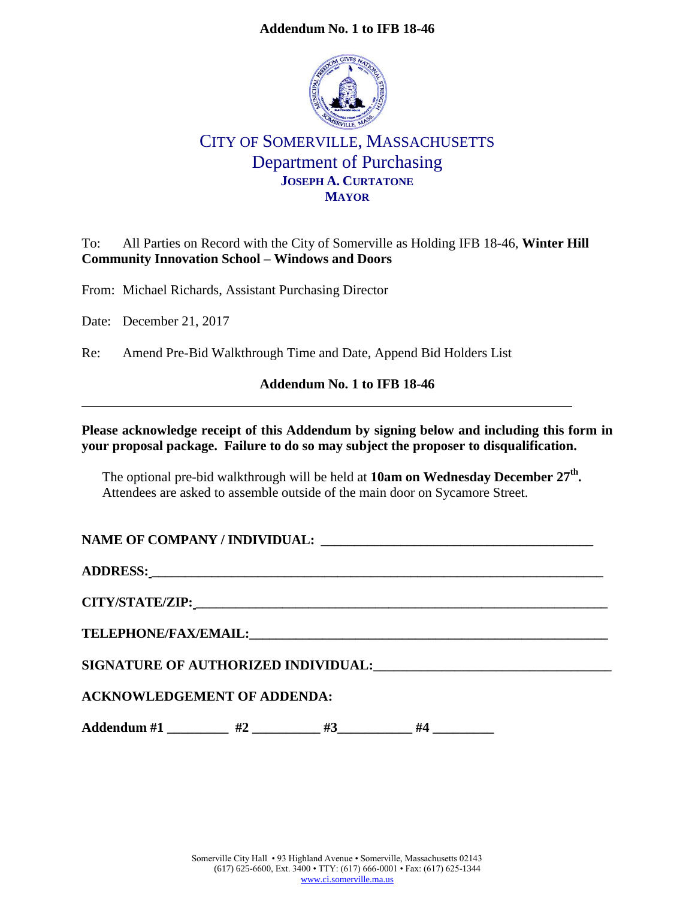## **Addendum No. 1 to IFB 18-46**



## CITY OF SOMERVILLE, MASSACHUSETTS Department of Purchasing **JOSEPH A. CURTATONE MAYOR**

To: All Parties on Record with the City of Somerville as Holding IFB 18-46, **Winter Hill Community Innovation School – Windows and Doors**

From: Michael Richards, Assistant Purchasing Director

Date: December 21, 2017

Re: Amend Pre-Bid Walkthrough Time and Date, Append Bid Holders List

## **Addendum No. 1 to IFB 18-46**

**Please acknowledge receipt of this Addendum by signing below and including this form in your proposal package. Failure to do so may subject the proposer to disqualification.**

The optional pre-bid walkthrough will be held at **10am on Wednesday December 27th .**  Attendees are asked to assemble outside of the main door on Sycamore Street.

| NAME OF COMPANY / INDIVIDUAL: |  |
|-------------------------------|--|
|                               |  |

**ADDRESS: \_\_\_\_\_\_\_\_\_\_\_\_\_\_\_\_\_\_\_\_\_\_\_\_\_\_\_\_\_\_\_\_\_\_\_\_\_\_\_\_\_\_\_\_\_\_\_\_\_\_\_\_\_\_\_\_\_\_\_\_\_\_\_\_\_\_\_\_**

**CITY/STATE/ZIP: \_\_\_\_\_\_\_\_\_\_\_\_\_\_\_\_\_\_\_\_\_\_\_\_\_\_\_\_\_\_\_\_\_\_\_\_\_\_\_\_\_\_\_\_\_\_\_\_\_\_\_\_\_\_\_\_\_\_\_\_\_\_**

**TELEPHONE/FAX/EMAIL:\_\_\_\_\_\_\_\_\_\_\_\_\_\_\_\_\_\_\_\_\_\_\_\_\_\_\_\_\_\_\_\_\_\_\_\_\_\_\_\_\_\_\_\_\_\_\_\_\_\_\_\_\_\_**

**SIGNATURE OF AUTHORIZED INDIVIDUAL:\_\_\_\_\_\_\_\_\_\_\_\_\_\_\_\_\_\_\_\_\_\_\_\_\_\_\_\_\_\_\_\_\_\_\_**

## **ACKNOWLEDGEMENT OF ADDENDA:**

Addendum #1 \_\_\_\_\_\_\_\_ #2 \_\_\_\_\_\_\_\_ #3 \_\_\_\_\_\_\_ #4 \_\_\_\_\_\_\_\_